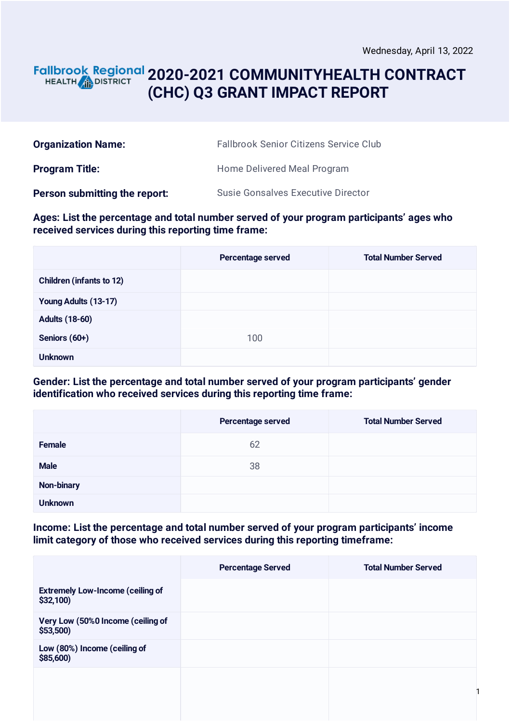### **2020-2021 COMMUNITYHEALTH CONTRACT** HEALTH **AND DISTRICT (CHC) Q3 GRANT IMPACT REPORT**

| <b>Organization Name:</b>     | <b>Fallbrook Senior Citizens Service Club</b> |
|-------------------------------|-----------------------------------------------|
| <b>Program Title:</b>         | Home Delivered Meal Program                   |
| Person submitting the report: | <b>Susie Gonsalves Executive Director</b>     |

**Ages: List the percentage and total number served of your program participants' ages who received services during this reporting time frame:**

|                                 | Percentage served | <b>Total Number Served</b> |
|---------------------------------|-------------------|----------------------------|
| <b>Children (infants to 12)</b> |                   |                            |
| Young Adults (13-17)            |                   |                            |
| <b>Adults (18-60)</b>           |                   |                            |
| Seniors (60+)                   | 100               |                            |
| <b>Unknown</b>                  |                   |                            |

#### **Gender: List the percentage and total number served of your program participants' gender identification who received services during this reporting time frame:**

|                   | Percentage served | <b>Total Number Served</b> |
|-------------------|-------------------|----------------------------|
| <b>Female</b>     | 62                |                            |
| <b>Male</b>       | 38                |                            |
| <b>Non-binary</b> |                   |                            |
| <b>Unknown</b>    |                   |                            |

**Income: List the percentage and total number served of your program participants' income limit category of those who received services during this reporting timeframe:**

|                                                      | <b>Percentage Served</b> | <b>Total Number Served</b> |
|------------------------------------------------------|--------------------------|----------------------------|
| <b>Extremely Low-Income (ceiling of</b><br>\$32,100) |                          |                            |
| Very Low (50%0 Income (ceiling of<br>\$53,500        |                          |                            |
| Low (80%) Income (ceiling of<br>\$85,600)            |                          |                            |
|                                                      |                          |                            |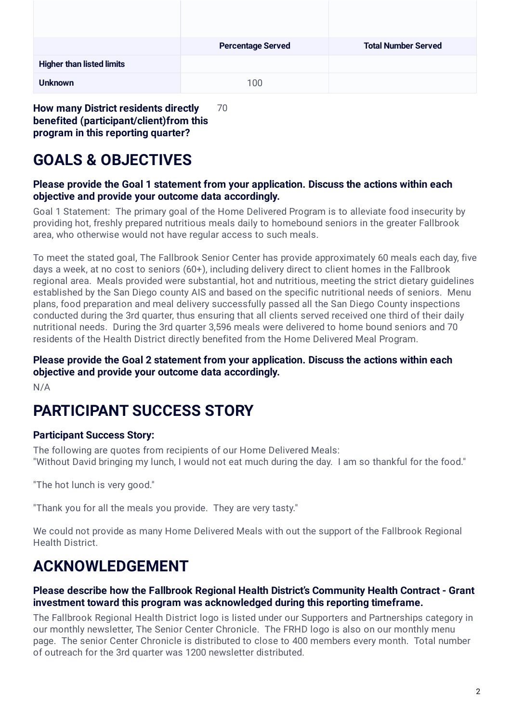|                                  | <b>Percentage Served</b> | <b>Total Number Served</b> |
|----------------------------------|--------------------------|----------------------------|
| <b>Higher than listed limits</b> |                          |                            |
| <b>Unknown</b>                   | 100                      |                            |

**How many District residents directly benefited (participant/client)from this program in this reporting quarter?** 70

# **GOALS & OBJECTIVES**

#### **Please provide the Goal 1 statement from your application. Discuss the actions within each objective and provide your outcome data accordingly.**

Goal 1 Statement: The primary goal of the Home Delivered Program is to alleviate food insecurity by providing hot, freshly prepared nutritious meals daily to homebound seniors in the greater Fallbrook area, who otherwise would not have regular access to such meals.

To meet the stated goal, The Fallbrook Senior Center has provide approximately 60 meals each day, five days a week, at no cost to seniors (60+), including delivery direct to client homes in the Fallbrook regional area. Meals provided were substantial, hot and nutritious, meeting the strict dietary guidelines established by the San Diego county AIS and based on the specific nutritional needs of seniors. Menu plans, food preparation and meal delivery successfully passed all the San Diego County inspections conducted during the 3rd quarter, thus ensuring that all clients served received one third of their daily nutritional needs. During the 3rd quarter 3,596 meals were delivered to home bound seniors and 70 residents of the Health District directly benefited from the Home Delivered Meal Program.

### **Please provide the Goal 2 statement from your application. Discuss the actions within each objective and provide your outcome data accordingly.**

N/A

# **PARTICIPANT SUCCESS STORY**

### **Participant Success Story:**

The following are quotes from recipients of our Home Delivered Meals: "Without David bringing my lunch, I would not eat much during the day. I am so thankful for the food."

"The hot lunch is very good."

"Thank you for all the meals you provide. They are very tasty."

We could not provide as many Home Delivered Meals with out the support of the Fallbrook Regional Health District.

# **ACKNOWLEDGEMENT**

### **Please describe how the Fallbrook Regional Health District's Community Health Contract - Grant investment toward this program was acknowledged during this reporting timeframe.**

The Fallbrook Regional Health District logo is listed under our Supporters and Partnerships category in our monthly newsletter, The Senior Center Chronicle. The FRHD logo is also on our monthly menu page. The senior Center Chronicle is distributed to close to 400 members every month. Total number of outreach for the 3rd quarter was 1200 newsletter distributed.